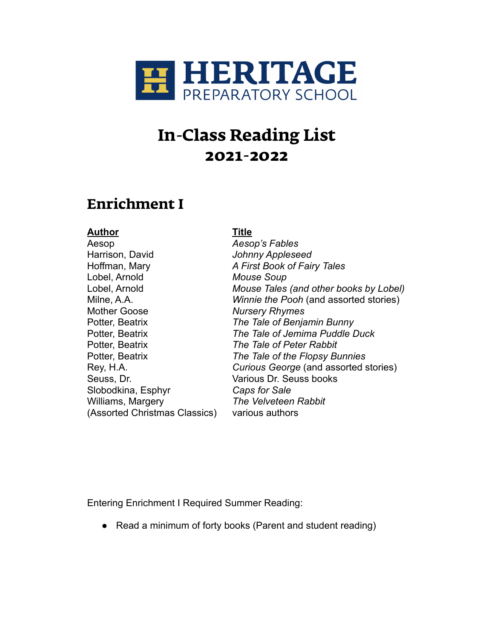

## **Enrichment I**

#### **Author Title**

Aesop *Aesop's Fables* Harrison, David *Johnny Appleseed* Hoffman, Mary *A First Book of Fairy Tales* Lobel, Arnold *Mouse Soup* Mother Goose *Nursery Rhymes* Potter, Beatrix *The Tale of Benjamin Bunny* Potter, Beatrix *The Tale of Peter Rabbit* Seuss, Dr. Various Dr. Seuss books Slobodkina, Esphyr *Caps for Sale* Williams, Margery *The Velveteen Rabbit* (Assorted Christmas Classics) various authors

Lobel, Arnold *Mouse Tales (and other books by Lobel)* Milne, A.A. *Winnie the Pooh* (and assorted stories) Potter, Beatrix *The Tale of Jemima Puddle Duck* Potter, Beatrix *The Tale of the Flopsy Bunnies* Rey, H.A. *Curious George* (and assorted stories)

Entering Enrichment I Required Summer Reading:

• Read a minimum of forty books (Parent and student reading)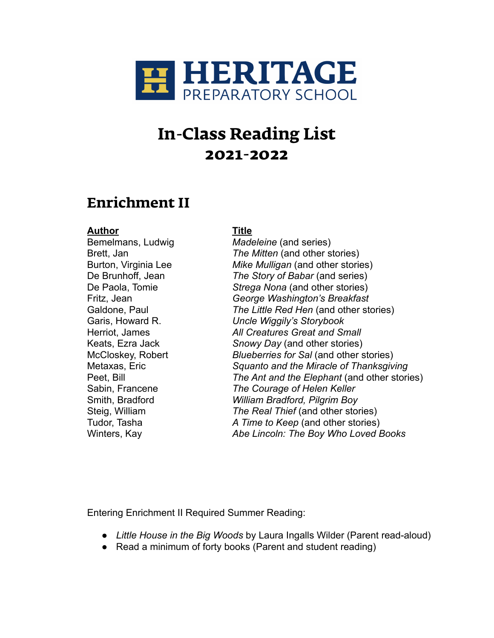

## **Enrichment II**

#### **Author Title**

Bemelmans, Ludwig *Madeleine* (and series) Brett, Jan *The Mitten* (and other stories) Burton, Virginia Lee *Mike Mulligan* (and other stories) De Brunhoff, Jean *The Story of Babar* (and series) De Paola, Tomie *Strega Nona* (and other stories) Fritz, Jean *George Washington's Breakfast* Galdone, Paul *The Little Red Hen* (and other stories) Garis, Howard R. *Uncle Wiggily's Storybook* Herriot, James *All Creatures Great and Small* Keats, Ezra Jack *Snowy Day* (and other stories) McCloskey, Robert *Blueberries for Sal* (and other stories) Metaxas, Eric *Squanto and the Miracle of Thanksgiving* Peet, Bill *The Ant and the Elephant* (and other stories) Sabin, Francene *The Courage of Helen Keller* Smith, Bradford *William Bradford, Pilgrim Boy* Steig, William *The Real Thief* (and other stories) Tudor, Tasha *A Time to Keep* (and other stories) Winters, Kay *Abe Lincoln: The Boy Who Loved Books*

Entering Enrichment II Required Summer Reading:

- *Little House in the Big Woods* by Laura Ingalls Wilder (Parent read-aloud)
- Read a minimum of forty books (Parent and student reading)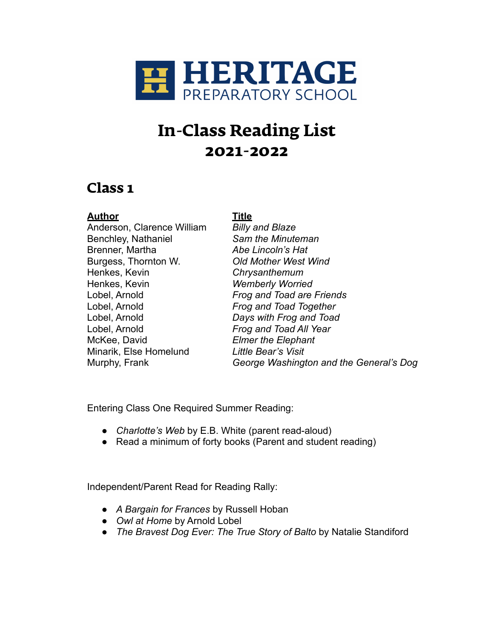

### **Class 1**

### **Author Title**

Anderson, Clarence William *Billy and Blaze* Benchley, Nathaniel *Sam the Minuteman* Brenner, Martha *Abe Lincoln's Hat* Burgess, Thornton W. *Old Mother West Wind*  Henkes, Kevin *Chrysanthemum* Henkes, Kevin *Wemberly Worried* Lobel, Arnold *Frog and Toad Together* Lobel, Arnold *Days with Frog and Toad* Lobel, Arnold *Frog and Toad All Year* McKee, David *Elmer the Elephant* Minarik, Else Homelund *Little Bear's Visit*

Lobel, Arnold *Frog and Toad are Friends* Murphy, Frank *George Washington and the General's Dog*

Entering Class One Required Summer Reading:

- *Charlotte's Web* by E.B. White (parent read-aloud)
- Read a minimum of forty books (Parent and student reading)

Independent/Parent Read for Reading Rally:

- *A Bargain for Frances* by Russell Hoban
- *Owl at Home* by Arnold Lobel
- *The Bravest Dog Ever: The True Story of Balto* by Natalie Standiford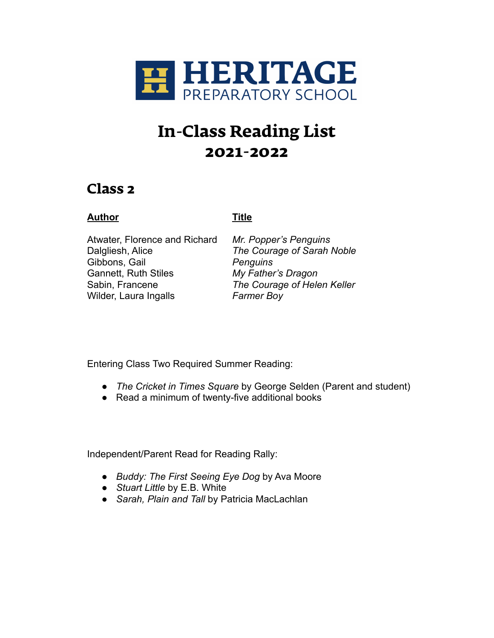

## **Class 2**

### **Author Title**

Atwater, Florence and Richard *Mr. Popper's Penguins* Dalgliesh, Alice *The Courage of Sarah Noble* Gibbons, Gail *Penguins* Gannett, Ruth Stiles *My Father's Dragon* Sabin, Francene *The Courage of Helen Keller* Wilder, Laura Ingalls *Farmer Boy*

Entering Class Two Required Summer Reading:

- *The Cricket in Times Square* by George Selden (Parent and student)
- Read a minimum of twenty-five additional books

Independent/Parent Read for Reading Rally:

- *Buddy: The First Seeing Eye Dog* by Ava Moore
- *Stuart Little* by E.B. White
- *Sarah, Plain and Tall* by Patricia MacLachlan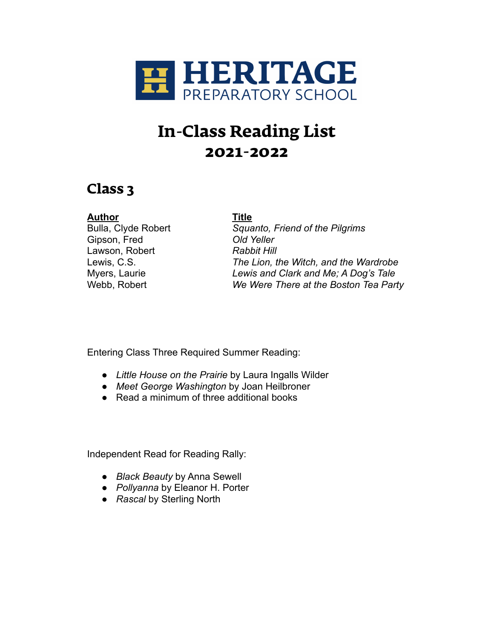

## **Class 3**

### **Author Title**

Gipson, Fred *Old Yeller* Lawson, Robert **Rabbit Hill** 

Bulla, Clyde Robert *Squanto, Friend of the Pilgrims* Lewis, C.S. *The Lion, the Witch, and the Wardrobe* Myers, Laurie *Lewis and Clark and Me; A Dog's Tale* Webb, Robert *We Were There at the Boston Tea Party*

Entering Class Three Required Summer Reading:

- *Little House on the Prairie* by Laura Ingalls Wilder
- *Meet George Washington* by Joan Heilbroner
- Read a minimum of three additional books

Independent Read for Reading Rally:

- *Black Beauty* by Anna Sewell
- *Pollyanna* by Eleanor H. Porter
- *Rascal* by Sterling North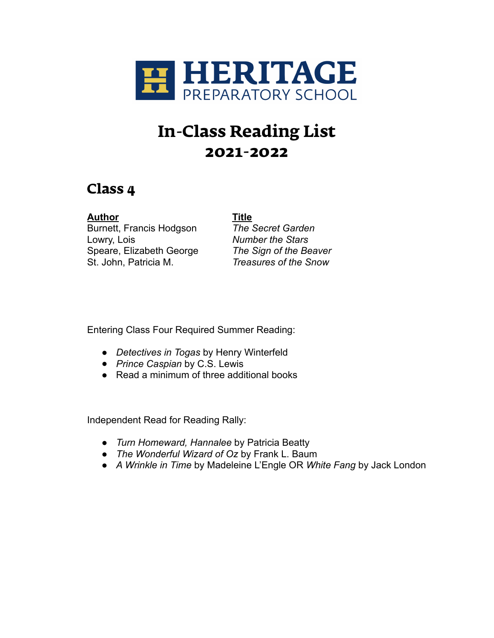

## **Class 4**

**Author Title** Burnett, Francis Hodgson *The Secret Garden* Lowry, Lois *Number the Stars* Speare, Elizabeth George *The Sign of the Beaver*

St. John, Patricia M. *Treasures of the Snow*

Entering Class Four Required Summer Reading:

- *Detectives in Togas* by Henry Winterfeld
- *Prince Caspian* by C.S. Lewis
- Read a minimum of three additional books

Independent Read for Reading Rally:

- *Turn Homeward, Hannalee* by Patricia Beatty
- *The Wonderful Wizard of Oz* by Frank L. Baum
- *A Wrinkle in Time* by Madeleine L'Engle OR *White Fang* by Jack London